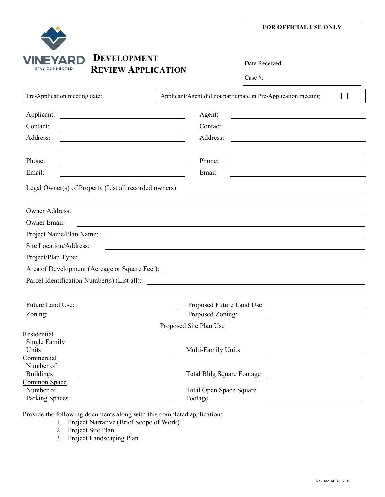|                                                                                              | <b>DEVELOPMENT</b><br><b>REVIEW APPLICATION</b>                                                                                           | <b>FOR OFFICIAL USE ONLY</b>                                                                                                                                                                                                                                                                                                                                   |  |  |  |
|----------------------------------------------------------------------------------------------|-------------------------------------------------------------------------------------------------------------------------------------------|----------------------------------------------------------------------------------------------------------------------------------------------------------------------------------------------------------------------------------------------------------------------------------------------------------------------------------------------------------------|--|--|--|
|                                                                                              |                                                                                                                                           | Case #:                                                                                                                                                                                                                                                                                                                                                        |  |  |  |
| Pre-Application meeting date:                                                                |                                                                                                                                           | Applicant/Agent did not participate in Pre-Application meeting                                                                                                                                                                                                                                                                                                 |  |  |  |
| Applicant:                                                                                   | Agent:                                                                                                                                    |                                                                                                                                                                                                                                                                                                                                                                |  |  |  |
| Contact:                                                                                     | Contact:                                                                                                                                  | <u> 1980 - Johann Stein, marwolaethau a bhann an t-Amhair ann an t-Amhair an t-Amhair an t-Amhair an t-Amhair an</u>                                                                                                                                                                                                                                           |  |  |  |
| Address:                                                                                     | Address:                                                                                                                                  |                                                                                                                                                                                                                                                                                                                                                                |  |  |  |
| Phone:                                                                                       | Phone:                                                                                                                                    |                                                                                                                                                                                                                                                                                                                                                                |  |  |  |
| Email:                                                                                       | Email:                                                                                                                                    |                                                                                                                                                                                                                                                                                                                                                                |  |  |  |
| Owner Address:<br><b>Owner Email:</b>                                                        |                                                                                                                                           |                                                                                                                                                                                                                                                                                                                                                                |  |  |  |
| Project Name/Plan Name:                                                                      |                                                                                                                                           |                                                                                                                                                                                                                                                                                                                                                                |  |  |  |
| Site Location/Address:                                                                       |                                                                                                                                           |                                                                                                                                                                                                                                                                                                                                                                |  |  |  |
| Project/Plan Type:                                                                           |                                                                                                                                           |                                                                                                                                                                                                                                                                                                                                                                |  |  |  |
| Area of Development (Acreage or Square Feet):<br>Parcel Identification Number(s) (List all): |                                                                                                                                           | <u> 1989 - Johann Stoff, deutscher Stoffen und der Stoffen und der Stoffen und der Stoffen und der Stoffen und der</u><br><u>and the control of the control of the control of the control of the control of the control of the control of the control of the control of the control of the control of the control of the control of the control of the con</u> |  |  |  |
| Future Land Use:<br>Zoning:                                                                  | <u> 1989 - Andrea State Barbara, martin de la provincia de la provincia de la provincia de la provincia de la pro</u><br>Proposed Zoning: | Proposed Future Land Use:                                                                                                                                                                                                                                                                                                                                      |  |  |  |
|                                                                                              | Proposed Site Plan Use                                                                                                                    |                                                                                                                                                                                                                                                                                                                                                                |  |  |  |
| Residential<br>Single Family<br>Units<br>Commercial                                          | Multi-Family Units                                                                                                                        |                                                                                                                                                                                                                                                                                                                                                                |  |  |  |
| Number of<br><b>Buildings</b><br>Common Space                                                |                                                                                                                                           | <b>Total Bldg Square Footage</b><br><u> 1989 - Jan Samuel Barbara, martin d</u>                                                                                                                                                                                                                                                                                |  |  |  |
| Number of<br>Parking Spaces                                                                  | Total Open Space Square<br>Footage                                                                                                        |                                                                                                                                                                                                                                                                                                                                                                |  |  |  |

Provide the following documents along with this completed application:

- 1. Project Narrative (Brief Scope of Work)
- 2. Project Site Plan
- 3. Project Landscaping Plan